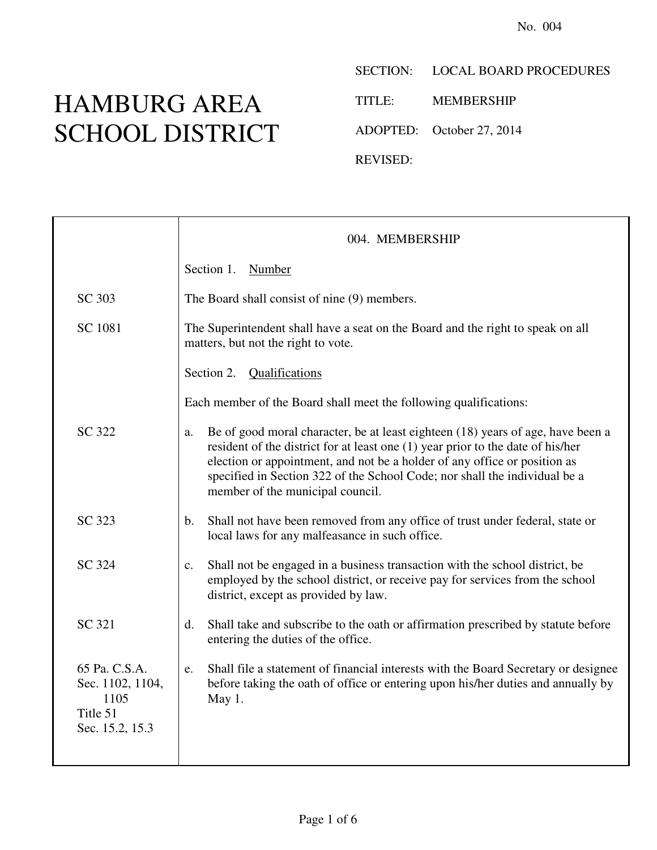## HAMBURG AREA SCHOOL DISTRICT

SECTION: LOCAL BOARD PROCEDURES

TITLE: MEMBERSHIP

ADOPTED: October 27, 2014

REVISED:

|                                                                          | 004. MEMBERSHIP                                                                                                                                                                                                                                                                                                                                                         |
|--------------------------------------------------------------------------|-------------------------------------------------------------------------------------------------------------------------------------------------------------------------------------------------------------------------------------------------------------------------------------------------------------------------------------------------------------------------|
|                                                                          | Section 1.<br>Number                                                                                                                                                                                                                                                                                                                                                    |
| SC 303                                                                   | The Board shall consist of nine (9) members.                                                                                                                                                                                                                                                                                                                            |
| SC 1081                                                                  | The Superintendent shall have a seat on the Board and the right to speak on all<br>matters, but not the right to vote.                                                                                                                                                                                                                                                  |
|                                                                          | Section 2. Qualifications                                                                                                                                                                                                                                                                                                                                               |
|                                                                          | Each member of the Board shall meet the following qualifications:                                                                                                                                                                                                                                                                                                       |
| SC 322                                                                   | Be of good moral character, be at least eighteen (18) years of age, have been a<br>a.<br>resident of the district for at least one (1) year prior to the date of his/her<br>election or appointment, and not be a holder of any office or position as<br>specified in Section 322 of the School Code; nor shall the individual be a<br>member of the municipal council. |
| SC 323                                                                   | Shall not have been removed from any office of trust under federal, state or<br>b.<br>local laws for any malfeasance in such office.                                                                                                                                                                                                                                    |
| SC 324                                                                   | Shall not be engaged in a business transaction with the school district, be<br>$\mathbf{c}$ .<br>employed by the school district, or receive pay for services from the school<br>district, except as provided by law.                                                                                                                                                   |
| SC 321                                                                   | Shall take and subscribe to the oath or affirmation prescribed by statute before<br>d.<br>entering the duties of the office.                                                                                                                                                                                                                                            |
| 65 Pa. C.S.A.<br>Sec. 1102, 1104,<br>1105<br>Title 51<br>Sec. 15.2, 15.3 | Shall file a statement of financial interests with the Board Secretary or designee<br>e.<br>before taking the oath of office or entering upon his/her duties and annually by<br>May 1.                                                                                                                                                                                  |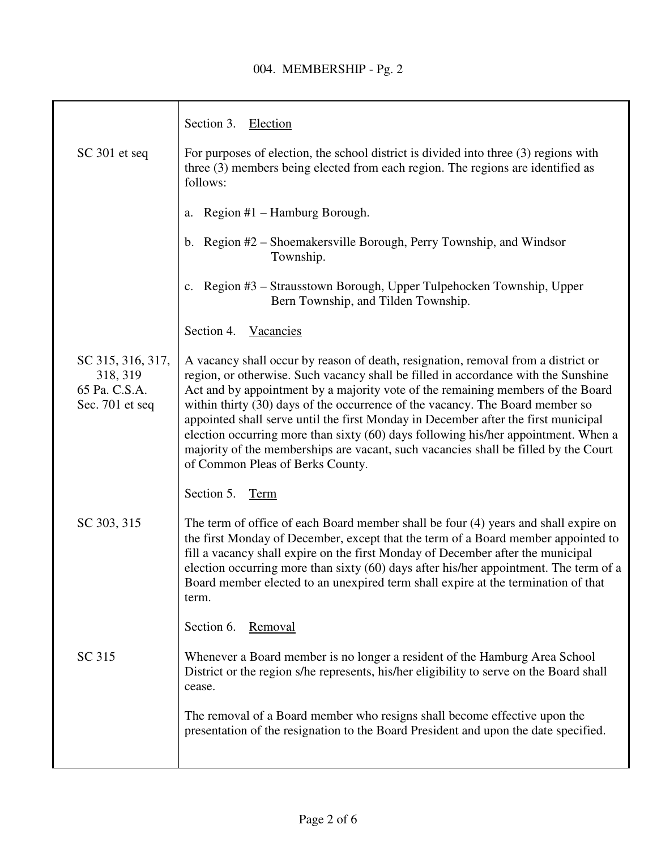|                                                                   | Section 3. Election                                                                                                                                                                                                                                                                                                                                                                                                                                                                                                                                                                                                                                |
|-------------------------------------------------------------------|----------------------------------------------------------------------------------------------------------------------------------------------------------------------------------------------------------------------------------------------------------------------------------------------------------------------------------------------------------------------------------------------------------------------------------------------------------------------------------------------------------------------------------------------------------------------------------------------------------------------------------------------------|
| SC 301 et seq                                                     | For purposes of election, the school district is divided into three (3) regions with<br>three (3) members being elected from each region. The regions are identified as<br>follows:                                                                                                                                                                                                                                                                                                                                                                                                                                                                |
|                                                                   | Region #1 – Hamburg Borough.<br>a.                                                                                                                                                                                                                                                                                                                                                                                                                                                                                                                                                                                                                 |
|                                                                   | b. Region #2 – Shoemakersville Borough, Perry Township, and Windsor<br>Township.                                                                                                                                                                                                                                                                                                                                                                                                                                                                                                                                                                   |
|                                                                   | c. Region #3 – Strausstown Borough, Upper Tulpehocken Township, Upper<br>Bern Township, and Tilden Township.                                                                                                                                                                                                                                                                                                                                                                                                                                                                                                                                       |
|                                                                   | Section 4. Vacancies                                                                                                                                                                                                                                                                                                                                                                                                                                                                                                                                                                                                                               |
| SC 315, 316, 317,<br>318, 319<br>65 Pa. C.S.A.<br>Sec. 701 et seq | A vacancy shall occur by reason of death, resignation, removal from a district or<br>region, or otherwise. Such vacancy shall be filled in accordance with the Sunshine<br>Act and by appointment by a majority vote of the remaining members of the Board<br>within thirty (30) days of the occurrence of the vacancy. The Board member so<br>appointed shall serve until the first Monday in December after the first municipal<br>election occurring more than sixty (60) days following his/her appointment. When a<br>majority of the memberships are vacant, such vacancies shall be filled by the Court<br>of Common Pleas of Berks County. |
|                                                                   | Section 5.<br>Term                                                                                                                                                                                                                                                                                                                                                                                                                                                                                                                                                                                                                                 |
| SC 303, 315                                                       | The term of office of each Board member shall be four (4) years and shall expire on<br>the first Monday of December, except that the term of a Board member appointed to<br>fill a vacancy shall expire on the first Monday of December after the municipal<br>election occurring more than sixty (60) days after his/her appointment. The term of a<br>Board member elected to an unexpired term shall expire at the termination of that<br>term.                                                                                                                                                                                                 |
|                                                                   | Section 6.<br>Removal                                                                                                                                                                                                                                                                                                                                                                                                                                                                                                                                                                                                                              |
| SC 315                                                            | Whenever a Board member is no longer a resident of the Hamburg Area School<br>District or the region s/he represents, his/her eligibility to serve on the Board shall<br>cease.                                                                                                                                                                                                                                                                                                                                                                                                                                                                    |
|                                                                   | The removal of a Board member who resigns shall become effective upon the<br>presentation of the resignation to the Board President and upon the date specified.                                                                                                                                                                                                                                                                                                                                                                                                                                                                                   |
|                                                                   |                                                                                                                                                                                                                                                                                                                                                                                                                                                                                                                                                                                                                                                    |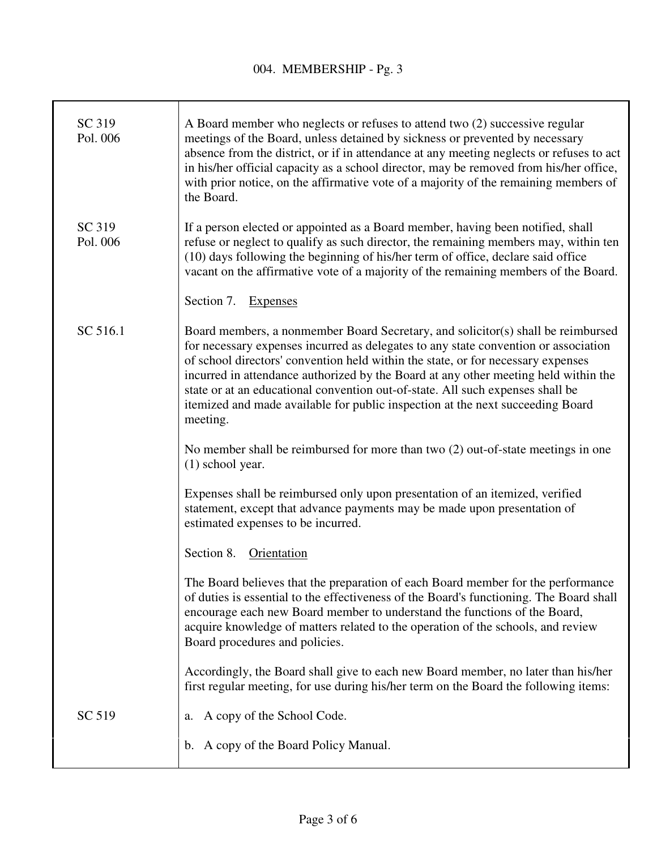| SC 319<br>Pol. 006 | A Board member who neglects or refuses to attend two (2) successive regular<br>meetings of the Board, unless detained by sickness or prevented by necessary<br>absence from the district, or if in attendance at any meeting neglects or refuses to act<br>in his/her official capacity as a school director, may be removed from his/her office,<br>with prior notice, on the affirmative vote of a majority of the remaining members of<br>the Board.                                                                            |
|--------------------|------------------------------------------------------------------------------------------------------------------------------------------------------------------------------------------------------------------------------------------------------------------------------------------------------------------------------------------------------------------------------------------------------------------------------------------------------------------------------------------------------------------------------------|
| SC 319<br>Pol. 006 | If a person elected or appointed as a Board member, having been notified, shall<br>refuse or neglect to qualify as such director, the remaining members may, within ten<br>(10) days following the beginning of his/her term of office, declare said office<br>vacant on the affirmative vote of a majority of the remaining members of the Board.                                                                                                                                                                                 |
|                    | Section 7. Expenses                                                                                                                                                                                                                                                                                                                                                                                                                                                                                                                |
| SC 516.1           | Board members, a nonmember Board Secretary, and solicitor(s) shall be reimbursed<br>for necessary expenses incurred as delegates to any state convention or association<br>of school directors' convention held within the state, or for necessary expenses<br>incurred in attendance authorized by the Board at any other meeting held within the<br>state or at an educational convention out-of-state. All such expenses shall be<br>itemized and made available for public inspection at the next succeeding Board<br>meeting. |
|                    | No member shall be reimbursed for more than two (2) out-of-state meetings in one<br>$(1)$ school year.                                                                                                                                                                                                                                                                                                                                                                                                                             |
|                    | Expenses shall be reimbursed only upon presentation of an itemized, verified<br>statement, except that advance payments may be made upon presentation of<br>estimated expenses to be incurred.                                                                                                                                                                                                                                                                                                                                     |
|                    | Section 8. Orientation                                                                                                                                                                                                                                                                                                                                                                                                                                                                                                             |
|                    | The Board believes that the preparation of each Board member for the performance<br>of duties is essential to the effectiveness of the Board's functioning. The Board shall<br>encourage each new Board member to understand the functions of the Board,<br>acquire knowledge of matters related to the operation of the schools, and review<br>Board procedures and policies.                                                                                                                                                     |
|                    | Accordingly, the Board shall give to each new Board member, no later than his/her<br>first regular meeting, for use during his/her term on the Board the following items:                                                                                                                                                                                                                                                                                                                                                          |
| SC 519             | A copy of the School Code.<br>a.                                                                                                                                                                                                                                                                                                                                                                                                                                                                                                   |
|                    | A copy of the Board Policy Manual.<br>$b_{\cdot}$                                                                                                                                                                                                                                                                                                                                                                                                                                                                                  |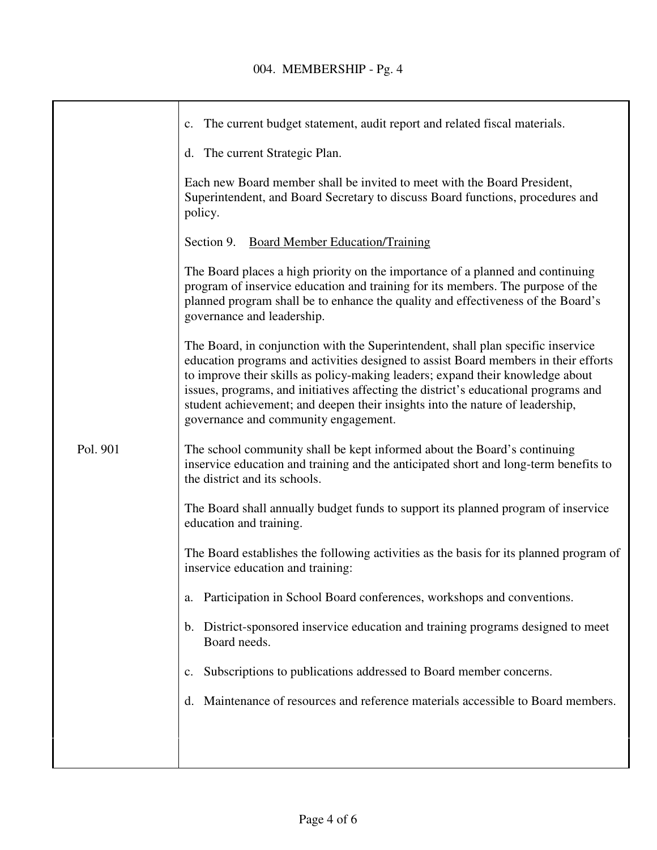|          | The current budget statement, audit report and related fiscal materials.<br>$c_{\cdot}$                                                                                                                                                                                                                                                                                                                                                                                   |
|----------|---------------------------------------------------------------------------------------------------------------------------------------------------------------------------------------------------------------------------------------------------------------------------------------------------------------------------------------------------------------------------------------------------------------------------------------------------------------------------|
|          |                                                                                                                                                                                                                                                                                                                                                                                                                                                                           |
|          | d. The current Strategic Plan.                                                                                                                                                                                                                                                                                                                                                                                                                                            |
|          | Each new Board member shall be invited to meet with the Board President,<br>Superintendent, and Board Secretary to discuss Board functions, procedures and<br>policy.                                                                                                                                                                                                                                                                                                     |
|          | Section 9. Board Member Education/Training                                                                                                                                                                                                                                                                                                                                                                                                                                |
|          | The Board places a high priority on the importance of a planned and continuing<br>program of inservice education and training for its members. The purpose of the<br>planned program shall be to enhance the quality and effectiveness of the Board's<br>governance and leadership.                                                                                                                                                                                       |
|          | The Board, in conjunction with the Superintendent, shall plan specific inservice<br>education programs and activities designed to assist Board members in their efforts<br>to improve their skills as policy-making leaders; expand their knowledge about<br>issues, programs, and initiatives affecting the district's educational programs and<br>student achievement; and deepen their insights into the nature of leadership,<br>governance and community engagement. |
| Pol. 901 | The school community shall be kept informed about the Board's continuing<br>inservice education and training and the anticipated short and long-term benefits to<br>the district and its schools.                                                                                                                                                                                                                                                                         |
|          | The Board shall annually budget funds to support its planned program of inservice<br>education and training.                                                                                                                                                                                                                                                                                                                                                              |
|          | The Board establishes the following activities as the basis for its planned program of<br>inservice education and training:                                                                                                                                                                                                                                                                                                                                               |
|          | Participation in School Board conferences, workshops and conventions.                                                                                                                                                                                                                                                                                                                                                                                                     |
|          | b. District-sponsored inservice education and training programs designed to meet<br>Board needs.                                                                                                                                                                                                                                                                                                                                                                          |
|          | Subscriptions to publications addressed to Board member concerns.                                                                                                                                                                                                                                                                                                                                                                                                         |
|          | Maintenance of resources and reference materials accessible to Board members.                                                                                                                                                                                                                                                                                                                                                                                             |
|          |                                                                                                                                                                                                                                                                                                                                                                                                                                                                           |
|          |                                                                                                                                                                                                                                                                                                                                                                                                                                                                           |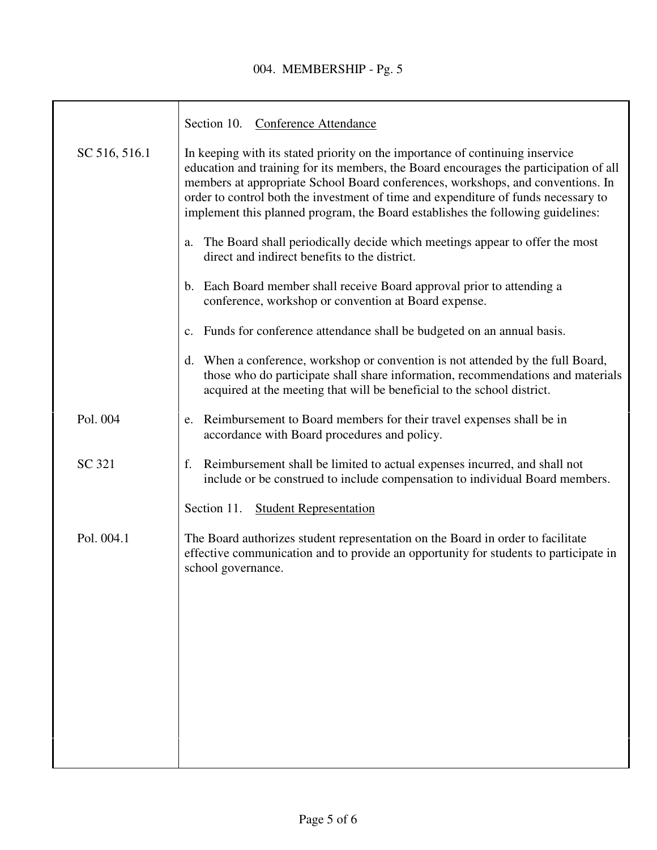## 004. MEMBERSHIP - Pg. 5

|               | Section 10. Conference Attendance                                                                                                                                                                                                                                                                                                                                                                                                  |
|---------------|------------------------------------------------------------------------------------------------------------------------------------------------------------------------------------------------------------------------------------------------------------------------------------------------------------------------------------------------------------------------------------------------------------------------------------|
| SC 516, 516.1 | In keeping with its stated priority on the importance of continuing inservice<br>education and training for its members, the Board encourages the participation of all<br>members at appropriate School Board conferences, workshops, and conventions. In<br>order to control both the investment of time and expenditure of funds necessary to<br>implement this planned program, the Board establishes the following guidelines: |
|               | The Board shall periodically decide which meetings appear to offer the most<br>a.<br>direct and indirect benefits to the district.                                                                                                                                                                                                                                                                                                 |
|               | Each Board member shall receive Board approval prior to attending a<br>b.<br>conference, workshop or convention at Board expense.                                                                                                                                                                                                                                                                                                  |
|               | Funds for conference attendance shall be budgeted on an annual basis.<br>$\mathbf{c}$ .                                                                                                                                                                                                                                                                                                                                            |
|               | d. When a conference, workshop or convention is not attended by the full Board,<br>those who do participate shall share information, recommendations and materials<br>acquired at the meeting that will be beneficial to the school district.                                                                                                                                                                                      |
| Pol. 004      | Reimbursement to Board members for their travel expenses shall be in<br>e.<br>accordance with Board procedures and policy.                                                                                                                                                                                                                                                                                                         |
| SC 321        | Reimbursement shall be limited to actual expenses incurred, and shall not<br>f.<br>include or be construed to include compensation to individual Board members.                                                                                                                                                                                                                                                                    |
|               | <b>Student Representation</b><br>Section 11.                                                                                                                                                                                                                                                                                                                                                                                       |
| Pol. 004.1    | The Board authorizes student representation on the Board in order to facilitate<br>effective communication and to provide an opportunity for students to participate in<br>school governance.                                                                                                                                                                                                                                      |
|               |                                                                                                                                                                                                                                                                                                                                                                                                                                    |
|               |                                                                                                                                                                                                                                                                                                                                                                                                                                    |
|               |                                                                                                                                                                                                                                                                                                                                                                                                                                    |
|               |                                                                                                                                                                                                                                                                                                                                                                                                                                    |
|               |                                                                                                                                                                                                                                                                                                                                                                                                                                    |
|               |                                                                                                                                                                                                                                                                                                                                                                                                                                    |